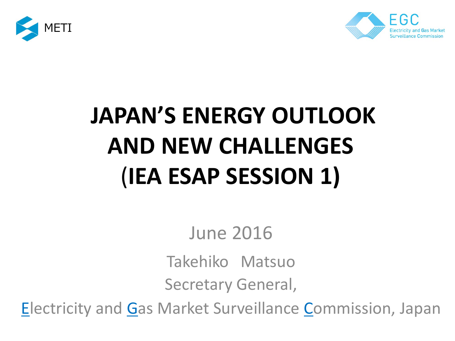



# **JAPAN'S ENERGY OUTLOOK AND NEW CHALLENGES** (**IEA ESAP SESSION 1)**

June 2016

Takehiko Matsuo Secretary General,

**Electricity and Gas Market Surveillance Commission, Japan**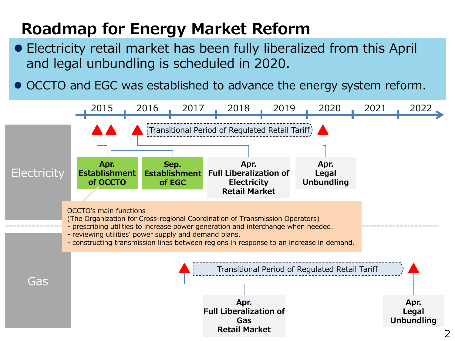#### **Roadmap for Energy Market Reform**

- Electricity retail market has been fully liberalized from this April and legal unbundling is scheduled in 2020.
- OCCTO and EGC was established to advance the energy system reform.

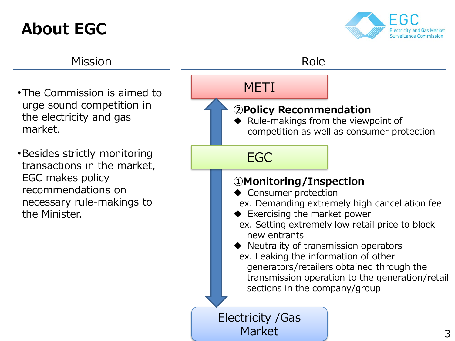## **About EGC**



#### Mission **Role** Role

- •The Commission is aimed to urge sound competition in the electricity and gas market.
- •Besides strictly monitoring transactions in the market, EGC makes policy recommendations on necessary rule-makings to the Minister.

#### METI

#### **②Policy Recommendation**

 Rule-makings from the viewpoint of competition as well as consumer protection

#### EGC

#### **①Monitoring/Inspection**

- Consumer protection
- ex. Demanding extremely high cancellation fee
- Exercising the market power
- ex. Setting extremely low retail price to block new entrants
- ◆ Neutrality of transmission operators ex. Leaking the information of other generators/retailers obtained through the transmission operation to the generation/retail sections in the company/group

Electricity /Gas Market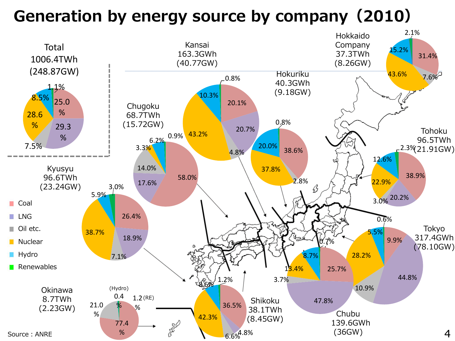## **Generation by energy source by company(2010)**

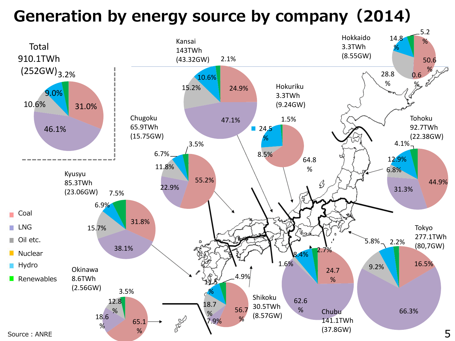## **Generation by energy source by company(2014)**

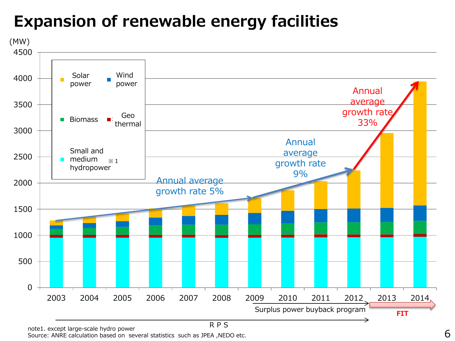## **Expansion of renewable energy facilities**



Source: except large-scale riyard power<br>Source: ANRE calculation based on several statistics such as JPEA ,NEDO etc.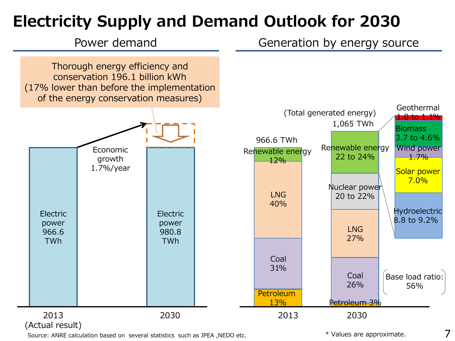## **Electricity Supply and Demand Outlook for 2030**



Source: ANRE calculation based on several statistics such as JPEA ,NEDO etc.

\* Values are approximate.

7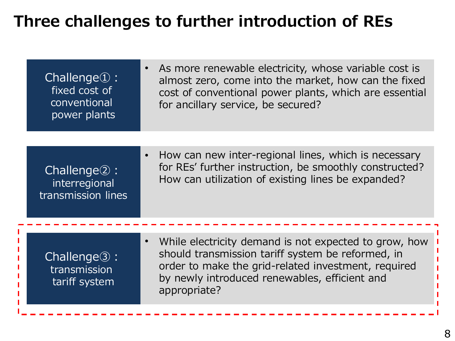#### **Three challenges to further introduction of REs**

| $Challenge\mathbb{Q}:$<br>fixed cost of<br>conventional<br>power plants | As more renewable electricity, whose variable cost is<br>$\bullet$<br>almost zero, come into the market, how can the fixed<br>cost of conventional power plants, which are essential<br>for ancillary service, be secured?                      |
|-------------------------------------------------------------------------|-------------------------------------------------------------------------------------------------------------------------------------------------------------------------------------------------------------------------------------------------|
|                                                                         |                                                                                                                                                                                                                                                 |
| Challenge <sup>2</sup> :<br>interregional<br>transmission lines         | How can new inter-regional lines, which is necessary<br>$\bullet$<br>for REs' further instruction, be smoothly constructed?<br>How can utilization of existing lines be expanded?                                                               |
|                                                                         |                                                                                                                                                                                                                                                 |
| $Challenge\circled{3}:$<br>transmission<br>tariff system                | While electricity demand is not expected to grow, how<br>$\bullet$<br>should transmission tariff system be reformed, in<br>order to make the grid-related investment, required<br>by newly introduced renewables, efficient and<br>appropriate? |
|                                                                         |                                                                                                                                                                                                                                                 |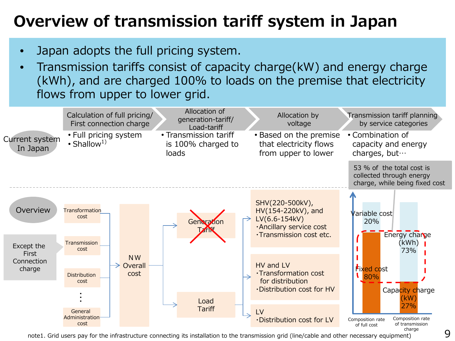## **Overview of transmission tariff system in Japan**

- Japan adopts the full pricing system.
- Transmission tariffs consist of capacity charge(kW) and energy charge (kWh), and are charged 100% to loads on the premise that electricity flows from upper to lower grid.



note1. Grid users pay for the infrastructure connecting its installation to the transmission grid (line/cable and other necessary equipment)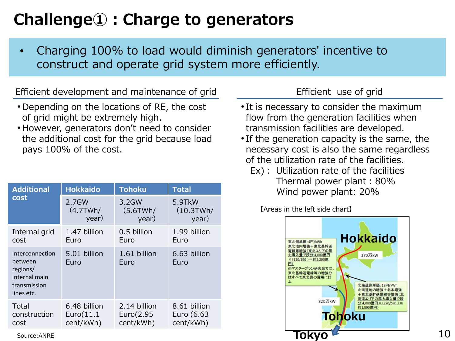## **Challenge①:Charge to generators**

• Charging 100% to load would diminish generators' incentive to construct and operate grid system more efficiently.

Efficient development and maintenance of grid Efficient use of grid

- Depending on the locations of RE, the cost of grid might be extremely high.
- However, generators don't need to consider the additional cost for the grid because load pays 100% of the cost.

| <b>Additional</b><br>cost                                                             | <b>Hokkaido</b>                         | <b>Tohoku</b>                          | <b>Total</b>                            |
|---------------------------------------------------------------------------------------|-----------------------------------------|----------------------------------------|-----------------------------------------|
|                                                                                       | 2.7GW<br>(4.7TWh/<br>year)              | 3.2GW<br>(5.6TWh/<br>year)             | 5.9TkW<br>(10.3TWh/<br>year)            |
| Internal grid<br>cost                                                                 | 1.47 billion<br>Euro                    | 0.5 billion<br>Euro                    | 1.99 billion<br>Euro                    |
| Interconnection<br>between<br>regions/<br>Internal main<br>transmission<br>lines etc. | 5.01 billion<br>Euro                    | 1.61 billion<br>Euro                   | 6.63 billion<br>Euro                    |
| Total<br>construction<br>cost                                                         | 6.48 billion<br>Euro(11.1)<br>cent/kWh) | 2.14 billion<br>Euro(2.95<br>cent/kWh) | 8.61 billion<br>Euro (6.63<br>cent/kWh) |

- It is necessary to consider the maximum flow from the generation facilities when transmission facilities are developed.
- If the generation capacity is the same, the necessary cost is also the same regardless of the utilization rate of the facilities.
	- Ex): Utilization rate of the facilities Thermal power plant:80% **Wind power plant: 20%**

【Areas in the left side chart】

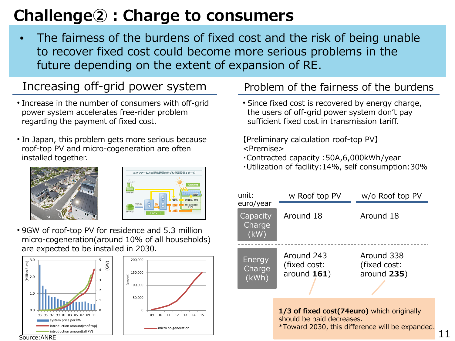## **Challenge②:Charge to consumers**

• The fairness of the burdens of fixed cost and the risk of being unable to recover fixed cost could become more serious problems in the future depending on the extent of expansion of RE.

#### Increasing off-grid power system

- Increase in the number of consumers with off-grid power system accelerates free-rider problem regarding the payment of fixed cost.
- In Japan, this problem gets more serious because roof-top PV and micro-cogeneration are often installed together.





• 9GW of roof-top PV for residence and 5.3 million micro-cogeneration(around 10% of all households) are expected to be installed in 2030.

0

09 10 11 12 13 14 15

micro co-generation





#### Problem of the fairness of the burdens

• Since fixed cost is recovered by energy charge, the users of off-grid power system don't pay sufficient fixed cost in transmission tariff.

【Preliminary calculation roof-top PV】 <Premise>

- ・Contracted capacity :50A,6,000kWh/year
- ・Utilization of facility:14%, self consumption:30%



11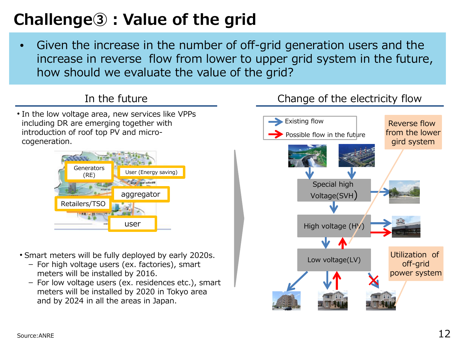## **Challenge③:Value of the grid**

Given the increase in the number of off-grid generation users and the increase in reverse flow from lower to upper grid system in the future, how should we evaluate the value of the grid?

• In the low voltage area, new services like VPPs including DR are emerging together with introduction of roof top PV and microcogeneration.



- Smart meters will be fully deployed by early 2020s.
	- For high voltage users (ex. factories), smart meters will be installed by 2016.
	- For low voltage users (ex. residences etc.), smart meters will be installed by 2020 in Tokyo area and by 2024 in all the areas in Japan.

#### In the future **Change of the electricity flow**